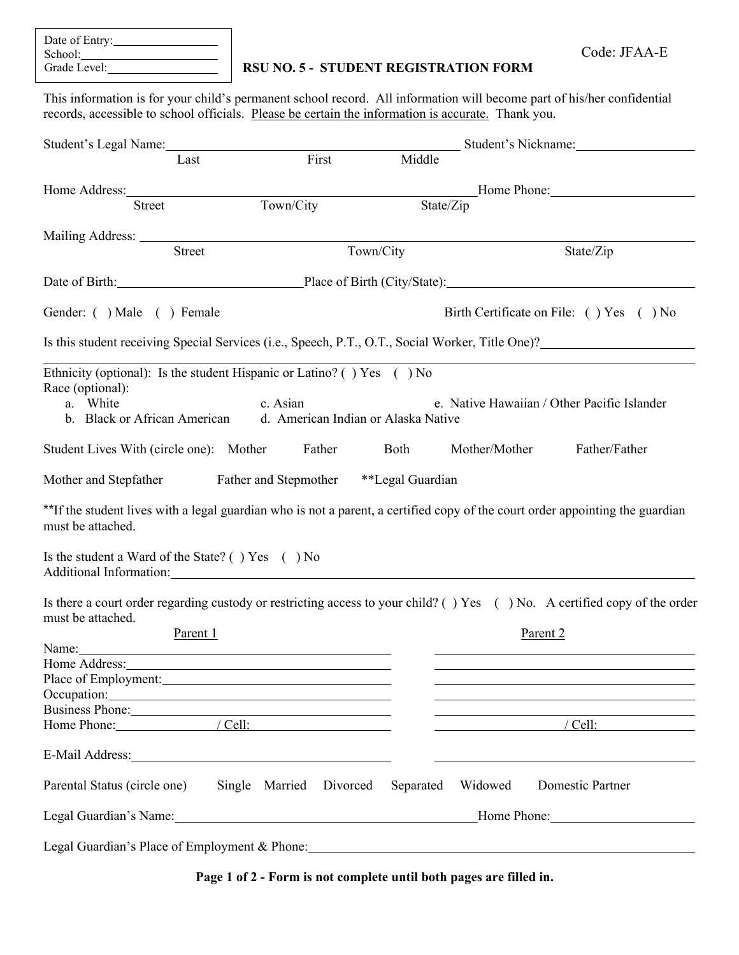| Date of Entry: |  |
|----------------|--|
| School:        |  |
| Grade Level:   |  |

## **RSU NO. 5 - STUDENT REGISTRATION FORM**

This information is for your child's permanent school record. All information will become part of his/her confidential records, accessible to school officials. Please be certain the information is accurate. Thank you.

|                                                                                                                                                                                                                                                                                    | Student's Legal Name:               |                        |                                                                                                                | Student's Nickname: 2008                                                                                      |  |
|------------------------------------------------------------------------------------------------------------------------------------------------------------------------------------------------------------------------------------------------------------------------------------|-------------------------------------|------------------------|----------------------------------------------------------------------------------------------------------------|---------------------------------------------------------------------------------------------------------------|--|
| Last                                                                                                                                                                                                                                                                               | First                               | Middle                 |                                                                                                                |                                                                                                               |  |
| Home Address: No. 1996                                                                                                                                                                                                                                                             |                                     |                        |                                                                                                                | Home Phone: Manual Manual Manual Manual Manual Manual Manual Manual Manual Manual Manual Manual Manual Manual |  |
| <b>Street</b>                                                                                                                                                                                                                                                                      | Town/City                           |                        | State/Zip                                                                                                      |                                                                                                               |  |
|                                                                                                                                                                                                                                                                                    |                                     |                        |                                                                                                                |                                                                                                               |  |
| <b>Street</b>                                                                                                                                                                                                                                                                      |                                     | Town/City<br>State/Zip |                                                                                                                |                                                                                                               |  |
| Date of Birth: Place of Birth (City/State): 2014                                                                                                                                                                                                                                   |                                     |                        |                                                                                                                |                                                                                                               |  |
| Gender: () Male () Female                                                                                                                                                                                                                                                          |                                     |                        |                                                                                                                | Birth Certificate on File: () Yes () No                                                                       |  |
| Is this student receiving Special Services (i.e., Speech, P.T., O.T., Social Worker, Title One)?                                                                                                                                                                                   |                                     |                        |                                                                                                                |                                                                                                               |  |
| Ethnicity (optional): Is the student Hispanic or Latino? () Yes () No                                                                                                                                                                                                              |                                     |                        |                                                                                                                |                                                                                                               |  |
| Race (optional):                                                                                                                                                                                                                                                                   |                                     |                        |                                                                                                                |                                                                                                               |  |
| a. White                                                                                                                                                                                                                                                                           | c. Asian                            |                        |                                                                                                                | e. Native Hawaiian / Other Pacific Islander                                                                   |  |
| b. Black or African American                                                                                                                                                                                                                                                       | d. American Indian or Alaska Native |                        |                                                                                                                |                                                                                                               |  |
| Student Lives With (circle one): Mother                                                                                                                                                                                                                                            | Father                              | Both                   | Mother/Mother                                                                                                  | Father/Father                                                                                                 |  |
| Mother and Stepfather Father and Stepmother **Legal Guardian                                                                                                                                                                                                                       |                                     |                        |                                                                                                                |                                                                                                               |  |
| **If the student lives with a legal guardian who is not a parent, a certified copy of the court order appointing the guardian<br>must be attached.                                                                                                                                 |                                     |                        |                                                                                                                |                                                                                                               |  |
| Is the student a Ward of the State? () Yes () No<br>Additional Information: Note that the contract of the contract of the contract of the contract of the contract of the contract of the contract of the contract of the contract of the contract of the contract of the contract |                                     |                        |                                                                                                                |                                                                                                               |  |
| Is there a court order regarding custody or restricting access to your child? () Yes () No. A certified copy of the order<br>must be attached.                                                                                                                                     |                                     |                        |                                                                                                                |                                                                                                               |  |
| Parent 1                                                                                                                                                                                                                                                                           |                                     |                        | Parent 2                                                                                                       |                                                                                                               |  |
|                                                                                                                                                                                                                                                                                    |                                     |                        |                                                                                                                |                                                                                                               |  |
| Home Address:                                                                                                                                                                                                                                                                      |                                     |                        |                                                                                                                |                                                                                                               |  |
|                                                                                                                                                                                                                                                                                    |                                     |                        |                                                                                                                |                                                                                                               |  |
| Occupation:                                                                                                                                                                                                                                                                        |                                     |                        |                                                                                                                |                                                                                                               |  |
| Business Phone:                                                                                                                                                                                                                                                                    |                                     |                        |                                                                                                                |                                                                                                               |  |
| Home Phone: / Cell:                                                                                                                                                                                                                                                                |                                     |                        |                                                                                                                | /Cell:                                                                                                        |  |
| E-Mail Address: 2008 and 2008 and 2008 and 2008 and 2008 and 2008 and 2008 and 2008 and 2008 and 2008 and 2008 and 2008 and 2008 and 2008 and 2008 and 2008 and 2008 and 2008 and 2008 and 2008 and 2008 and 2008 and 2008 and                                                     |                                     |                        |                                                                                                                |                                                                                                               |  |
| Parental Status (circle one)                                                                                                                                                                                                                                                       | Single Married Divorced Separated   |                        | Widowed                                                                                                        | Domestic Partner                                                                                              |  |
|                                                                                                                                                                                                                                                                                    |                                     |                        | Legal Guardian's Name: 1990 Manual Communication of Home Phone: 2008. [19] Manual Communication of Home Phone: |                                                                                                               |  |
|                                                                                                                                                                                                                                                                                    |                                     |                        |                                                                                                                |                                                                                                               |  |

**Page 1 of 2 - Form is not complete until both pages are filled in.**